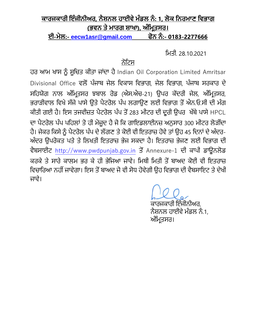## <u>ਕਾਰਜਕਾਰੀ ਇੰਜੀਨੀਅਰ, ਨੈਸ਼ਨਲ ਹਾਈਵੇ ਮੰਡਲ ਨੰ: 1, ਲੋਕ ਨਿਰਮਾਣ ਵਿਭਾਗ</u> <u>(ਭਵਨ ਤੇ ਮਾਰਗ ਸ਼ਾਖਾ), ਅੰਮ੍ਰਿਤਸਰ।</u>

**ਈ-ਮੇਲ:- [eecw1asr@gmail.com](mailto:eecw1asr@gmail.com) ਫੋਨ ਨੰ :- 0183-2277666**

ਮਿਤੀ. 28.10.2021

## ਨੋਟਿਸ

ਹਰ ਆਮ ਖਾਸ ਨੂੰ ਸੂਚਿਤ ਕੀਤਾ ਜਾਂਦਾ ਹੈ Indian Oil Corporation Limited Amritsar Divisional Office ਵਲੋਂ ਪੂੰਜਾਬ ਜੇਲ ਮਵਕਾਸ ਮਵਭਾਗ, ਜੇਲ ਮਵਭਾਗ, ਪੂੰਜਾਬ ਸਰਕਾਰ ਦੇ ਸਹਿਯੋਗ ਨਾਲ ਅੰਮ੍ਰਿਤਸਰ ਝਬਾਲ ਰੋਡ (ਐਸ.ਐਚ-21) ਉਪਰ ਕੇਂਦਰੀ ਜੇਲ, ਅੰਮ੍ਰਿਤਸਰ, ਭਰਾੜੀਵਾਲ ਵਿਖੇ ਸੱਜੇ ਪਾਸੇ ਉਤੇ ਪੈਟਰੋਲ ਪੰਪ ਲਗਾਉਣ ਲਈ ਵਿਭਾਗ ਤੋਂ ਐਨ.ਓ.ਸੀ ਦੀ ਮੰਗ ਕੀਤੀ ਗਈ ਹੈ। ਇਸ ਤਜਵੀਜ਼ਤ ਪੈਟਰੋਲ ਪੰਪ ਤੋਂ 283 ਮੀਟਰ ਦੀ ਦੂਰੀ ਉਪਰ ਖੱਬੇ ਪਾਸੇ HPCL ਦਾ ਪੈਟਰੋਲ ਪੰਪ ਪਹਿਲਾਂ ਤੋ ਹੀ ਮੋਜੂਦ ਹੈ ਜੋ ਕਿ ਗਾਇਡਲਾਈਨਜ਼ ਅਨੁਸਾਰ 300 ਮੀਟਰ ਲੋੜੀਂਦਾ ਹੈ। ਜੇਕਰ ਕਿਸੇ ਨੂੰ ਪੈਟਰੋਲ ਪੰਪ ਦੇ ਲੱਗਣ ਤੇ ਕੋਈ ਵੀ ਇਤਰਾਜ਼ ਹੋਵੇ ਤਾਂ ਉਹ 45 ਦਿਨਾਂ ਦੇ ਅੰਦਰ-ਅੂੰਦਰ ਉਪਰੋਕਤ ਪਤੇ ਤੇ ਮਲਖਤੀ ਇਤਰਾਜ਼ ਭੇਜ ਸਕਦਾ ਹੈ। ਇਤਰਾਜ਼ ਭੇਜਣ ਲਈ ਮਵਭਾਗ ਦੀ ਵੈਬਸਾਈਿ [http://www.pwdpunjab.gov.in](http://www.pwdpunjab.gov.in/) ਤੋਂ Annexure-1 ਦੀ ਕਾਪੀ ਡਾਊਨਲੋਡ ਕਰਕੇ ਤੇ ਸਾਰੇ ਕਾਲਮ ਭਰ ਕੇ ਹੀ ਭੇਜਿਆ ਜਾਵੇ। ਮਿਥੀ ਮਿਤੀ ਤੋਂ ਬਾਅਦ ਕੋਈ ਵੀ ਇਤਰਾਜ਼ ਵਿਚਾਰਿਆ ਨਹੀਂ ਜਾਵੇਗਾ। ਇਸ ਤੋਂ ਬਾਅਦ ਜੋ ਵੀ ਸੋਧ ਹੋਵੇਗੀ ਉਹ ਵਿਭਾਗ ਦੀ ਵੈਬਸਾਇਟ ਤੇ ਦੇਖੀ ਜਾਵੇ।

> ਕਾਰਜਕਾਰੀ ਇੂੰਜੀਨੀਅਰ, ਨੈਸ਼ਨਲ ਹਾਈਵੇ ਮੰਡਲ ਨੂੰ 1, ਅੰਮ੍ਰਿਤਸਰ।